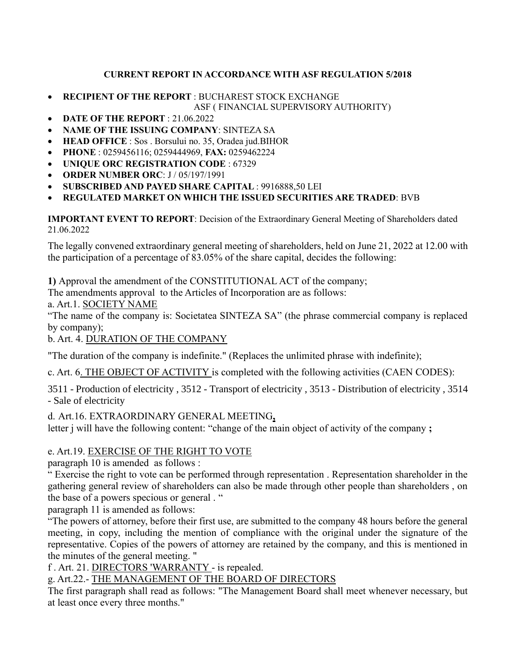### **CURRENT REPORT IN ACCORDANCE WITH ASF REGULATION 5/2018**

- **RECIPIENT OF THE REPORT** : BUCHAREST STOCK EXCHANGE ASF ( FINANCIAL SUPERVISORY AUTHORITY)
- **DATE OF THE REPORT** : 21.06.2022
- **NAME OF THE ISSUING COMPANY**: SINTEZA SA
- **HEAD OFFICE** : Sos . Borsului no. 35, Oradea jud.BIHOR
- **PHONE** : 0259456116; 0259444969, **FAX:** 0259462224
- **UNIQUE ORC REGISTRATION CODE** : 67329
- **ORDER NUMBER ORC**: J / 05/197/1991
- **SUBSCRIBED AND PAYED SHARE CAPITAL** : 9916888,50 LEI

## • **REGULATED MARKET ON WHICH THE ISSUED SECURITIES ARE TRADED**: BVB

**IMPORTANT EVENT TO REPORT**: Decision of the Extraordinary General Meeting of Shareholders dated 21.06.2022

The legally convened extraordinary general meeting of shareholders, held on June 21, 2022 at 12.00 with the participation of a percentage of 83.05% of the share capital, decides the following:

**1)** Approval the amendment of the CONSTITUTIONAL ACT of the company;

The amendments approval to the Articles of Incorporation are as follows:

a. Art.1. SOCIETY NAME

"The name of the company is: Societatea SINTEZA SA" (the phrase commercial company is replaced by company);

b. Art. 4. DURATION OF THE COMPANY

"The duration of the company is indefinite." (Replaces the unlimited phrase with indefinite);

c. Art. 6. THE OBJECT OF ACTIVITY is completed with the following activities (CAEN CODES):

[3511 -](https://caen.ro/caen/3511-productia-de-energie-electrica) [Production](https://caen.ro/caen/3511-productia-de-energie-electrica) [of electricity ,](https://caen.ro/caen/3511-productia-de-energie-electrica) [3512 -](https://caen.ro/caen/3512-transportul-energiei-electrice) [Transport](https://caen.ro/caen/3512-transportul-energiei-electrice) [of](https://caen.ro/caen/3514-comercializarea-energiei-electrice) [electricity ,](https://caen.ro/caen/3512-transportul-energiei-electrice) [3513 -](https://caen.ro/caen/3513-distributia-energiei-electrice) [Distribution of](https://caen.ro/caen/3513-distributia-energiei-electrice) [electricity ,](https://caen.ro/caen/3512-transportul-energiei-electrice) [3514](https://caen.ro/caen/3514-comercializarea-energiei-electrice)  - [Sale of](https://caen.ro/caen/3514-comercializarea-energiei-electrice) [electricity](https://caen.ro/caen/3513-distributia-energiei-electrice)

d. Art.16. EXTRAORDINARY GENERAL MEETING**,** letter j will have the following content: "change of the main object of activity of the company **;**

# e. Art.19. EXERCISE OF THE RIGHT TO VOTE

paragraph 10 is amended as follows :

" Exercise the right to vote can be performed through representation . Representation shareholder in the gathering general review of shareholders can also be made through other people than shareholders , on the base of a powers specious or general . "

paragraph 11 is amended as follows:

"The powers of attorney, before their first use, are submitted to the company 48 hours before the general meeting, in copy, including the mention of compliance with the original under the signature of the representative. Copies of the powers of attorney are retained by the company, and this is mentioned in the minutes of the general meeting. "

f . Art. 21. DIRECTORS 'WARRANTY - is repealed.

g. Art.22.- THE MANAGEMENT OF THE BOARD OF DIRECTORS

The first paragraph shall read as follows: "The Management Board shall meet whenever necessary, but at least once every three months."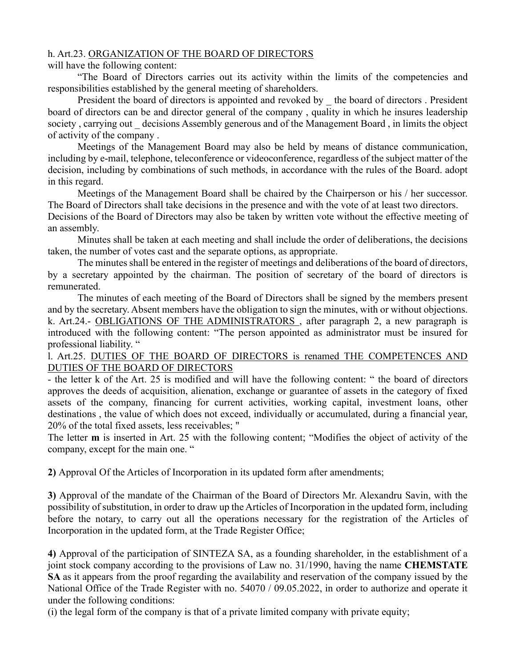#### h. Art.23. ORGANIZATION OF THE BOARD OF DIRECTORS

#### will have the following content:

"The Board of Directors carries out its activity within the limits of the competencies and responsibilities established by the general meeting of shareholders.

President the board of directors is appointed and revoked by \_ the board of directors . President board of directors can be and director general of the company , quality in which he insures leadership society, carrying out decisions Assembly generous and of the Management Board, in limits the object of activity of the company .

Meetings of the Management Board may also be held by means of distance communication, including by e-mail, telephone, teleconference or videoconference, regardless of the subject matter of the decision, including by combinations of such methods, in accordance with the rules of the Board. adopt in this regard.

Meetings of the Management Board shall be chaired by the Chairperson or his / her successor. The Board of Directors shall take decisions in the presence and with the vote of at least two directors.

Decisions of the Board of Directors may also be taken by written vote without the effective meeting of an assembly.

Minutes shall be taken at each meeting and shall include the order of deliberations, the decisions taken, the number of votes cast and the separate options, as appropriate.

The minutes shall be entered in the register of meetings and deliberations of the board of directors, by a secretary appointed by the chairman. The position of secretary of the board of directors is remunerated.

The minutes of each meeting of the Board of Directors shall be signed by the members present and by the secretary. Absent members have the obligation to sign the minutes, with or without objections. k. Art.24.- OBLIGATIONS OF THE ADMINISTRATORS , after paragraph 2, a new paragraph is introduced with the following content: "The person appointed as administrator must be insured for professional liability. "

#### l. Art.25. DUTIES OF THE BOARD OF DIRECTORS is renamed THE COMPETENCES AND DUTIES OF THE BOARD OF DIRECTORS

- the letter k of the Art. 25 is modified and will have the following content: " the board of directors approves the deeds of acquisition, alienation, exchange or guarantee of assets in the category of fixed assets of the company, financing for current activities, working capital, investment loans, other destinations , the value of which does not exceed, individually or accumulated, during a financial year, 20% of the total fixed assets, less receivables; "

The letter **m** is inserted in Art. 25 with the following content; "Modifies the object of activity of the company, except for the main one. "

**2)** Approval Of the Articles of Incorporation in its updated form after amendments;

**3)** Approval of the mandate of the Chairman of the Board of Directors Mr. Alexandru Savin, with the possibility of substitution, in order to draw up the Articles of Incorporation in the updated form, including before the notary, to carry out all the operations necessary for the registration of the Articles of Incorporation in the updated form, at the Trade Register Office;

**4)** Approval of the participation of SINTEZA SA, as a founding shareholder, in the establishment of a joint stock company according to the provisions of Law no. 31/1990, having the name **CHEMSTATE SA** as it appears from the proof regarding the availability and reservation of the company issued by the National Office of the Trade Register with no. 54070 / 09.05.2022, in order to authorize and operate it under the following conditions:

(i) the legal form of the company is that of a private limited company with private equity;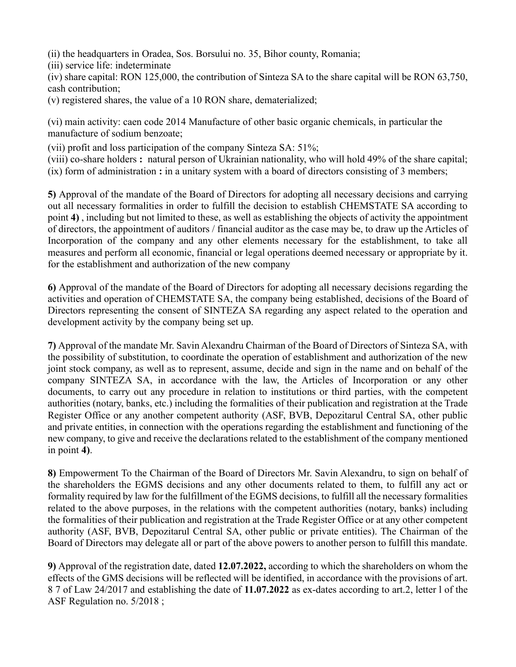(ii) the headquarters in Oradea, Sos. Borsului no. 35, Bihor county, Romania;

(iii) service life: indeterminate

(iv) share capital: RON 125,000, the contribution of Sinteza SA to the share capital will be RON 63,750, cash contribution;

(v) registered shares, the value of a 10 RON share, dematerialized;

(vi) main activity: caen code 2014 Manufacture of other basic organic chemicals, in particular the manufacture of sodium benzoate;

(vii) profit and loss participation of the company Sinteza SA: 51%;

(viii) co-share holders **:** natural person of Ukrainian nationality, who will hold 49% of the share capital; (ix) form of administration **:** in a unitary system with a board of directors consisting of 3 members;

**5)** Approval of the mandate of the Board of Directors for adopting all necessary decisions and carrying out all necessary formalities in order to fulfill the decision to establish CHEMSTATE SA according to point **4)** , including but not limited to these, as well as establishing the objects of activity the appointment of directors, the appointment of auditors / financial auditor as the case may be, to draw up the Articles of Incorporation of the company and any other elements necessary for the establishment, to take all measures and perform all economic, financial or legal operations deemed necessary or appropriate by it. for the establishment and authorization of the new company

**6)** Approval of the mandate of the Board of Directors for adopting all necessary decisions regarding the activities and operation of CHEMSTATE SA, the company being established, decisions of the Board of Directors representing the consent of SINTEZA SA regarding any aspect related to the operation and development activity by the company being set up.

**7)** Approval of the mandate Mr. Savin Alexandru Chairman of the Board of Directors of Sinteza SA, with the possibility of substitution, to coordinate the operation of establishment and authorization of the new joint stock company, as well as to represent, assume, decide and sign in the name and on behalf of the company SINTEZA SA, in accordance with the law, the Articles of Incorporation or any other documents, to carry out any procedure in relation to institutions or third parties, with the competent authorities (notary, banks, etc.) including the formalities of their publication and registration at the Trade Register Office or any another competent authority (ASF, BVB, Depozitarul Central SA, other public and private entities, in connection with the operations regarding the establishment and functioning of the new company, to give and receive the declarations related to the establishment of the company mentioned in point **4)**.

**8)** Empowerment To the Chairman of the Board of Directors Mr. Savin Alexandru, to sign on behalf of the shareholders the EGMS decisions and any other documents related to them, to fulfill any act or formality required by law for the fulfillment of the EGMS decisions, to fulfill all the necessary formalities related to the above purposes, in the relations with the competent authorities (notary, banks) including the formalities of their publication and registration at the Trade Register Office or at any other competent authority (ASF, BVB, Depozitarul Central SA, other public or private entities). The Chairman of the Board of Directors may delegate all or part of the above powers to another person to fulfill this mandate.

**9)** Approval of the registration date, dated **12.07.2022,** according to which the shareholders on whom the effects of the GMS decisions will be reflected will be identified, in accordance with the provisions of art. 8 7 of Law 24/2017 and establishing the date of **11.07.2022** as ex-dates according to art.2, letter l of the ASF Regulation no. 5/2018 ;